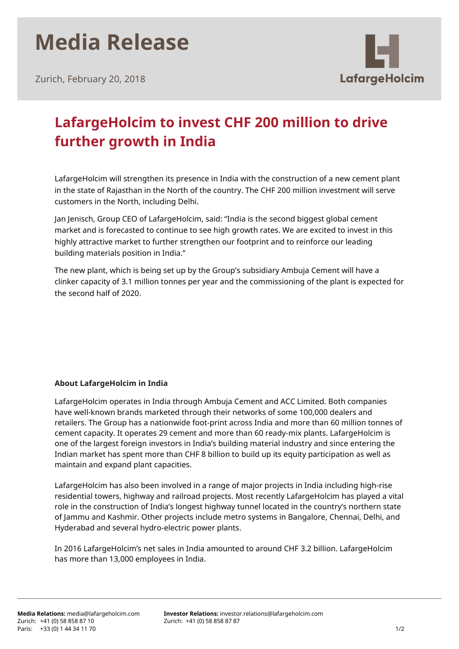# **Media Release**

Zurich, February 20, 2018



### **LafargeHolcim to invest CHF 200 million to drive further growth in India**

LafargeHolcim will strengthen its presence in India with the construction of a new cement plant in the state of Rajasthan in the North of the country. The CHF 200 million investment will serve customers in the North, including Delhi.

Jan Jenisch, Group CEO of LafargeHolcim, said: "India is the second biggest global cement market and is forecasted to continue to see high growth rates. We are excited to invest in this highly attractive market to further strengthen our footprint and to reinforce our leading building materials position in India."

The new plant, which is being set up by the Group's subsidiary Ambuja Cement will have a clinker capacity of 3.1 million tonnes per year and the commissioning of the plant is expected for the second half of 2020.

#### **About LafargeHolcim in India**

LafargeHolcim operates in India through Ambuja Cement and ACC Limited. Both companies have well-known brands marketed through their networks of some 100,000 dealers and retailers. The Group has a nationwide foot-print across India and more than 60 million tonnes of cement capacity. It operates 29 cement and more than 60 ready-mix plants. LafargeHolcim is one of the largest foreign investors in India's building material industry and since entering the Indian market has spent more than CHF 8 billion to build up its equity participation as well as maintain and expand plant capacities.

LafargeHolcim has also been involved in a range of major projects in India including high-rise residential towers, highway and railroad projects. Most recently LafargeHolcim has played a vital role in the construction of India's longest highway tunnel located in the country's northern state of Jammu and Kashmir. Other projects include metro systems in Bangalore, Chennai, Delhi, and Hyderabad and several hydro-electric power plants.

In 2016 LafargeHolcim's net sales in India amounted to around CHF 3.2 billion. LafargeHolcim has more than 13,000 employees in India.